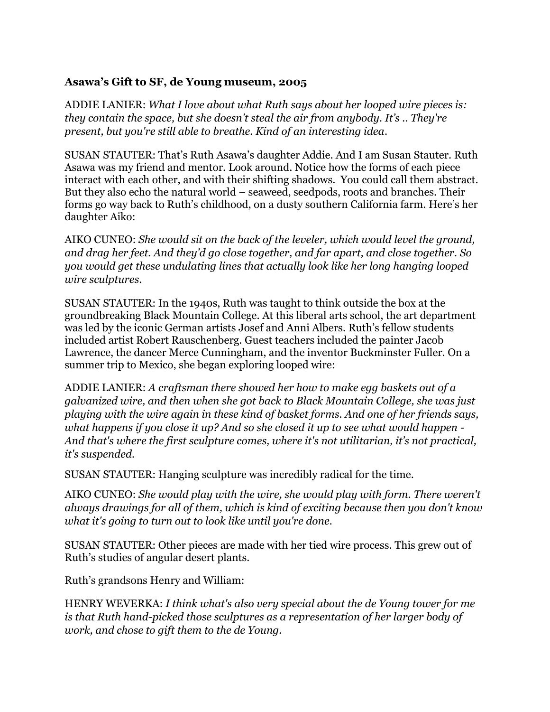## **Asawa's Gift to SF, de Young museum, 2005**

ADDIE LANIER: *What I love about what Ruth says about her looped wire pieces is: they contain the space, but she doesn't steal the air from anybody. It's .. They're present, but you're still able to breathe. Kind of an interesting idea*.

SUSAN STAUTER: That's Ruth Asawa's daughter Addie. And I am Susan Stauter. Ruth Asawa was my friend and mentor. Look around. Notice how the forms of each piece interact with each other, and with their shifting shadows. You could call them abstract. But they also echo the natural world – seaweed, seedpods, roots and branches. Their forms go way back to Ruth's childhood, on a dusty southern California farm. Here's her daughter Aiko:

AIKO CUNEO: *She would sit on the back of the leveler, which would level the ground, and drag her feet. And they'd go close together, and far apart, and close together. So you would get these undulating lines that actually look like her long hanging looped wire sculptures*.

SUSAN STAUTER: In the 1940s, Ruth was taught to think outside the box at the groundbreaking Black Mountain College. At this liberal arts school, the art department was led by the iconic German artists Josef and Anni Albers. Ruth's fellow students included artist Robert Rauschenberg. Guest teachers included the painter Jacob Lawrence, the dancer Merce Cunningham, and the inventor Buckminster Fuller. On a summer trip to Mexico, she began exploring looped wire:

ADDIE LANIER: *A craftsman there showed her how to make egg baskets out of a galvanized wire, and then when she got back to Black Mountain College, she was just playing with the wire again in these kind of basket forms. And one of her friends says, what happens if you close it up? And so she closed it up to see what would happen - And that's where the first sculpture comes, where it's not utilitarian, it's not practical, it's suspended.*

SUSAN STAUTER: Hanging sculpture was incredibly radical for the time.

AIKO CUNEO: *She would play with the wire, she would play with form. There weren't always drawings for all of them, which is kind of exciting because then you don't know what it's going to turn out to look like until you're done.* 

SUSAN STAUTER: Other pieces are made with her tied wire process. This grew out of Ruth's studies of angular desert plants.

Ruth's grandsons Henry and William:

HENRY WEVERKA: *I think what's also very special about the de Young tower for me is that Ruth hand-picked those sculptures as a representation of her larger body of work, and chose to gift them to the de Young.*